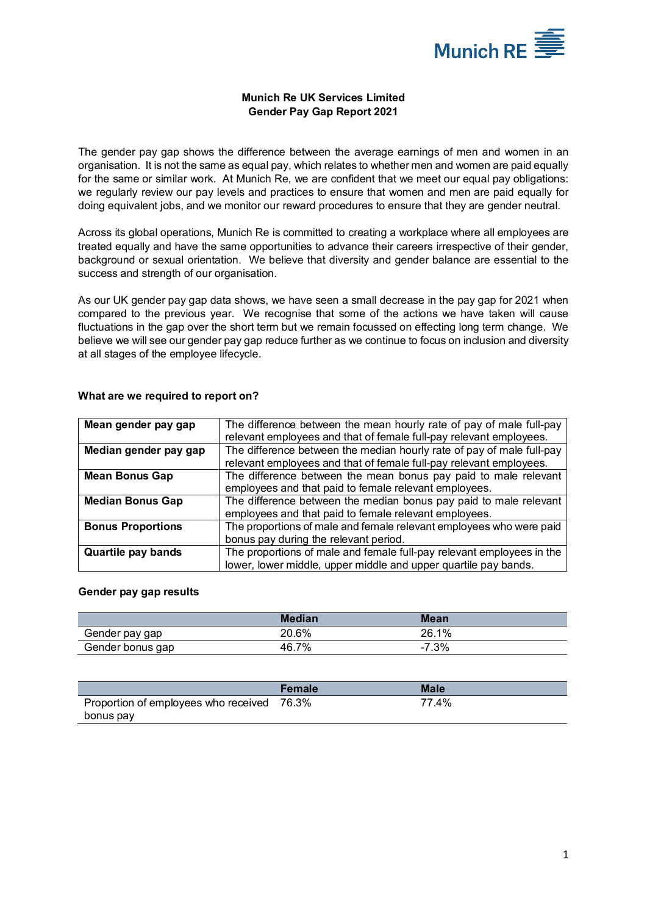

# **Munich Re UK Services Limited Gender Pay Gap Report 2021**

The gender pay gap shows the difference between the average earnings of men and women in an organisation. It is not the same as equal pay, which relates to whether men and women are paid equally for the same or similar work. At Munich Re, we are confident that we meet our equal pay obligations: we regularly review our pay levels and practices to ensure that women and men are paid equally for doing equivalent jobs, and we monitor our reward procedures to ensure that they are gender neutral.

Across its global operations, Munich Re is committed to creating a workplace where all employees are treated equally and have the same opportunities to advance their careers irrespective of their gender, background or sexual orientation. We believe that diversity and gender balance are essential to the success and strength of our organisation.

As our UK gender pay gap data shows, we have seen a small decrease in the pay gap for 2021 when compared to the previous year. We recognise that some of the actions we have taken will cause fluctuations in the gap over the short term but we remain focussed on effecting long term change. We believe we will see our gender pay gap reduce further as we continue to focus on inclusion and diversity at all stages of the employee lifecycle.

| Mean gender pay gap       | The difference between the mean hourly rate of pay of male full-pay   |  |  |
|---------------------------|-----------------------------------------------------------------------|--|--|
|                           | relevant employees and that of female full-pay relevant employees.    |  |  |
| Median gender pay gap     | The difference between the median hourly rate of pay of male full-pay |  |  |
|                           | relevant employees and that of female full-pay relevant employees.    |  |  |
| <b>Mean Bonus Gap</b>     | The difference between the mean bonus pay paid to male relevant       |  |  |
|                           | employees and that paid to female relevant employees.                 |  |  |
| <b>Median Bonus Gap</b>   | The difference between the median bonus pay paid to male relevant     |  |  |
|                           | employees and that paid to female relevant employees.                 |  |  |
| <b>Bonus Proportions</b>  | The proportions of male and female relevant employees who were paid   |  |  |
|                           | bonus pay during the relevant period.                                 |  |  |
| <b>Quartile pay bands</b> | The proportions of male and female full-pay relevant employees in the |  |  |
|                           | lower, lower middle, upper middle and upper quartile pay bands.       |  |  |

## **What are we required to report on?**

#### **Gender pay gap results**

|                  | Median | Mean    |  |
|------------------|--------|---------|--|
| Gender pay gap   | 20.6%  | 26.1%   |  |
| Gender bonus gap | 46.7%  | $-7.3%$ |  |

|                                            | <b>Female</b> | Male  |
|--------------------------------------------|---------------|-------|
| Proportion of employees who received 76.3% |               | 77.4% |
| bonus pay                                  |               |       |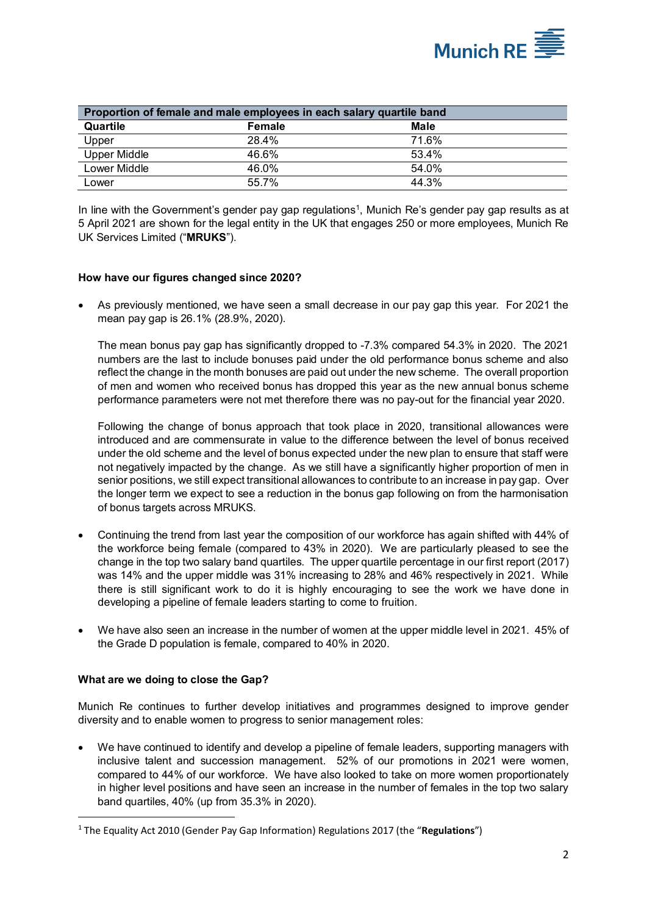

| Proportion of female and male employees in each salary quartile band |        |       |  |  |
|----------------------------------------------------------------------|--------|-------|--|--|
| Quartile                                                             | Female | Male  |  |  |
| Upper                                                                | 28.4%  | 71.6% |  |  |
| Upper Middle                                                         | 46.6%  | 53.4% |  |  |
| Lower Middle                                                         | 46.0%  | 54.0% |  |  |
| Lower                                                                | 55.7%  | 44.3% |  |  |

In line with the Government's gender pay gap regulations<sup>[1](#page-1-0)</sup>, Munich Re's gender pay gap results as at 5 April 2021 are shown for the legal entity in the UK that engages 250 or more employees, Munich Re UK Services Limited ("**MRUKS**").

## **How have our figures changed since 2020?**

• As previously mentioned, we have seen a small decrease in our pay gap this year. For 2021 the mean pay gap is 26.1% (28.9%, 2020).

The mean bonus pay gap has significantly dropped to -7.3% compared 54.3% in 2020. The 2021 numbers are the last to include bonuses paid under the old performance bonus scheme and also reflect the change in the month bonuses are paid out under the new scheme. The overall proportion of men and women who received bonus has dropped this year as the new annual bonus scheme performance parameters were not met therefore there was no pay-out for the financial year 2020.

Following the change of bonus approach that took place in 2020, transitional allowances were introduced and are commensurate in value to the difference between the level of bonus received under the old scheme and the level of bonus expected under the new plan to ensure that staff were not negatively impacted by the change. As we still have a significantly higher proportion of men in senior positions, we still expect transitional allowances to contribute to an increase in pay gap. Over the longer term we expect to see a reduction in the bonus gap following on from the harmonisation of bonus targets across MRUKS.

- Continuing the trend from last year the composition of our workforce has again shifted with 44% of the workforce being female (compared to 43% in 2020). We are particularly pleased to see the change in the top two salary band quartiles. The upper quartile percentage in our first report (2017) was 14% and the upper middle was 31% increasing to 28% and 46% respectively in 2021. While there is still significant work to do it is highly encouraging to see the work we have done in developing a pipeline of female leaders starting to come to fruition.
- We have also seen an increase in the number of women at the upper middle level in 2021. 45% of the Grade D population is female, compared to 40% in 2020.

#### **What are we doing to close the Gap?**

Munich Re continues to further develop initiatives and programmes designed to improve gender diversity and to enable women to progress to senior management roles:

• We have continued to identify and develop a pipeline of female leaders, supporting managers with inclusive talent and succession management. 52% of our promotions in 2021 were women, compared to 44% of our workforce. We have also looked to take on more women proportionately in higher level positions and have seen an increase in the number of females in the top two salary band quartiles, 40% (up from 35.3% in 2020).

<span id="page-1-0"></span><sup>1</sup> The Equality Act 2010 (Gender Pay Gap Information) Regulations 2017 (the "**Regulations**")